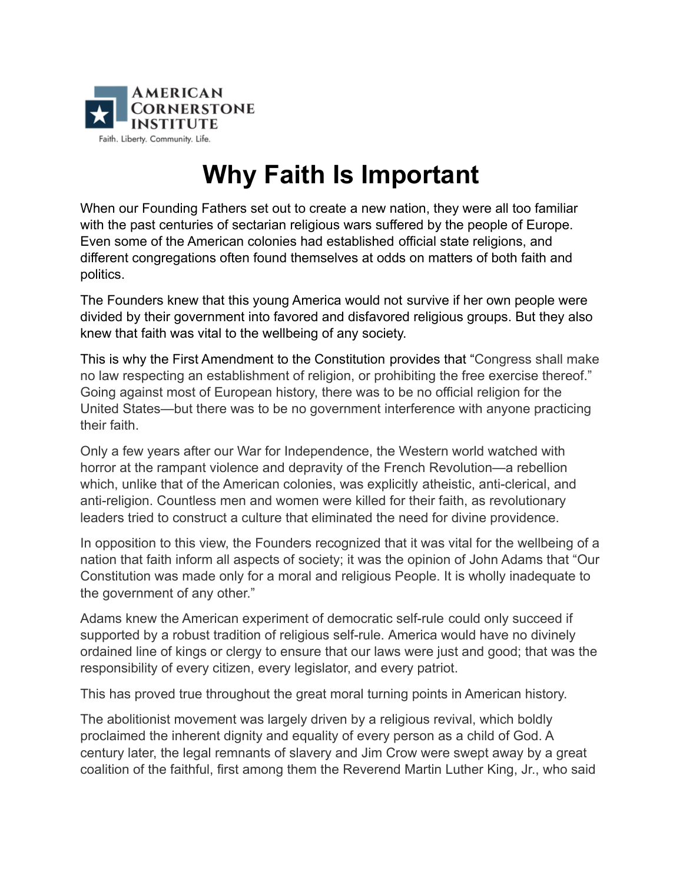

## **Why Faith Is Important**

When our Founding Fathers set out to create a new nation, they were all too familiar with the past centuries of sectarian religious wars suffered by the people of Europe. Even some of the American colonies had established official state religions, and different congregations often found themselves at odds on matters of both faith and politics.

The Founders knew that this young America would not survive if her own people were divided by their government into favored and disfavored religious groups. But they also knew that faith was vital to the wellbeing of any society.

This is why the First Amendment to the Constitution provides that "Congress shall make no law respecting an establishment of religion, or prohibiting the free exercise thereof." Going against most of European history, there was to be no official religion for the United States—but there was to be no government interference with anyone practicing their faith.

Only a few years after our War for Independence, the Western world watched with horror at the rampant violence and depravity of the French Revolution—a rebellion which, unlike that of the American colonies, was explicitly atheistic, anti-clerical, and anti-religion. Countless men and women were killed for their faith, as revolutionary leaders tried to construct a culture that eliminated the need for divine providence.

In opposition to this view, the Founders recognized that it was vital for the wellbeing of a nation that faith inform all aspects of society; it was the opinion of John Adams that "Our Constitution was made only for a moral and religious People. It is wholly inadequate to the government of any other."

Adams knew the American experiment of democratic self-rule could only succeed if supported by a robust tradition of religious self-rule. America would have no divinely ordained line of kings or clergy to ensure that our laws were just and good; that was the responsibility of every citizen, every legislator, and every patriot.

This has proved true throughout the great moral turning points in American history.

The abolitionist movement was largely driven by a religious revival, which boldly proclaimed the inherent dignity and equality of every person as a child of God. A century later, the legal remnants of slavery and Jim Crow were swept away by a great coalition of the faithful, first among them the Reverend Martin Luther King, Jr., who said